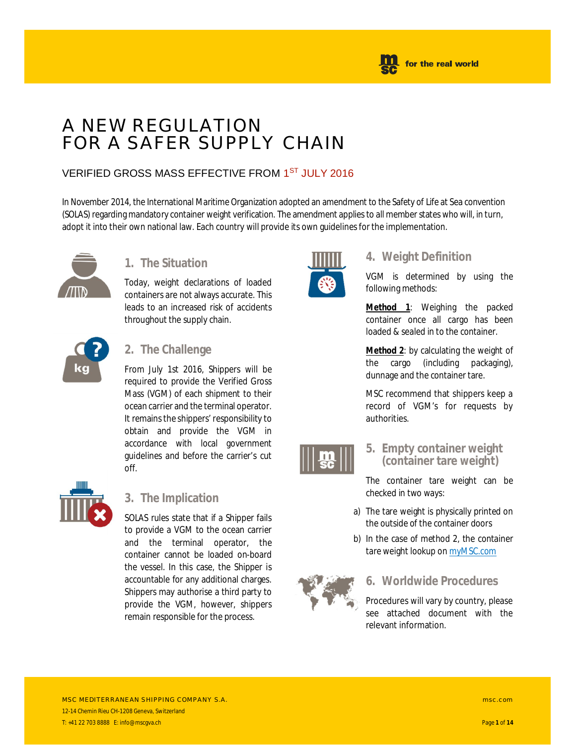

### A NEW REGULATION FOR A SAFER SUPPLY CHAIN

#### VERIFIED GROSS MASS EFFECTIVE FROM 1<sup>ST</sup> JULY 2016

In November 2014, the International Maritime Organization adopted an amendment to the Safety of Life at Sea convention (SOLAS) regarding mandatory container weight verification. The amendment applies to all member states who will, in turn, adopt it into their own national law. Each country will provide its own guidelines for the implementation.



#### **1. The Situation**

Today, weight declarations of loaded containers are not always accurate. This leads to an increased risk of accidents throughout the supply chain.



#### **2. The Challenge**

From July 1st 2016, Shippers will be required to provide the Verified Gross Mass (VGM) of each shipment to their ocean carrier and the terminal operator. It remains the shippers' responsibility to obtain and provide the VGM in accordance with local government guidelines and before the carrier's cut off.



#### **3. The Implication**

SOLAS rules state that if a Shipper fails to provide a VGM to the ocean carrier and the terminal operator, the container cannot be loaded on-board the vessel. In this case, the Shipper is accountable for any additional charges. Shippers may authorise a third party to provide the VGM, however, shippers remain responsible for the process.



#### **4. Weight Definition**

VGM is determined by using the following methods:

**Method 1**: Weighing the packed container once all cargo has been loaded & sealed in to the container.

**Method 2**: by calculating the weight of the cargo (including packaging), dunnage and the container tare.

MSC recommend that shippers keep a record of VGM's for requests by authorities.



#### **5. Empty container weight (container tare weight)**

The container tare weight can be checked in two ways:

- a) The tare weight is physically printed on the outside of the container doors
- b) In the case of method 2, the container tare weight lookup on myMSC.com



#### **6. Worldwide Procedures**

Procedures will vary by country, please see attached document with the relevant information.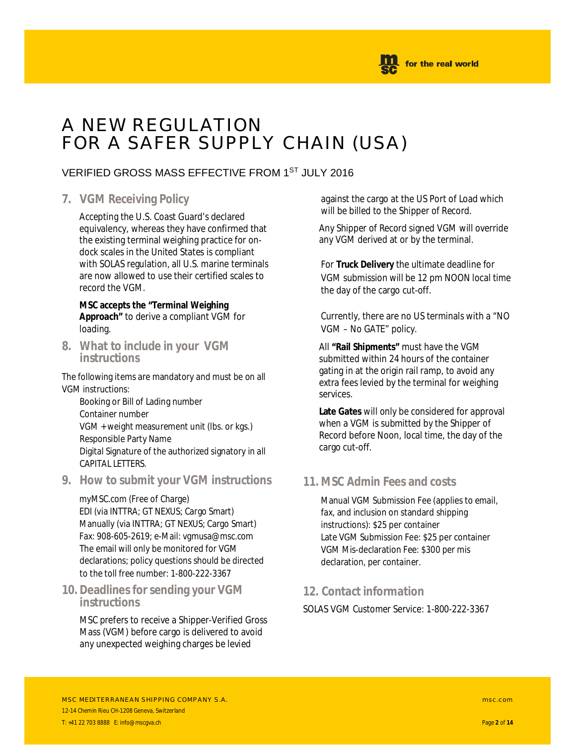

#### A NEW REGULATION FOR A SAFER SUPPLY CHAIN (USA)

#### VERIFIED GROSS MASS EFFECTIVE FROM 1ST JULY 2016

#### **7. VGM Receiving Policy**

Accepting the U.S. Coast Guard's declared equivalency, whereas they have confirmed that the existing terminal weighing practice for ondock scales in the United States is compliant with SOLAS regulation, all U.S. marine terminals are now allowed to use their certified scales to record the VGM.

**MSC accepts the "Terminal Weighing Approach"** to derive a compliant VGM for loading.

**8. What to include in your VGM instructions**

The following items are mandatory and must be on all VGM instructions:

Booking or Bill of Lading number Container number VGM + weight measurement unit (lbs. or kgs.) Responsible Party Name Digital Signature of the authorized signatory in all CAPITAL LETTERS.

**9. How to submit your VGM instructions**

myMSC.com (Free of Charge) EDI (via INTTRA; GT NEXUS; Cargo Smart) Manually (via INTTRA; GT NEXUS; Cargo Smart) Fax: 908-605-2619; e-Mail: vgmusa@msc.com The email will only be monitored for VGM declarations; policy questions should be directed to the toll free number: 1-800-222-3367

**10. Deadlines for sending your VGM instructions**

MSC prefers to receive a Shipper-Verified Gross Mass (VGM) before cargo is delivered to avoid any unexpected weighing charges be levied

against the cargo at the US Port of Load which will be billed to the Shipper of Record.

Any Shipper of Record signed VGM will override any VGM derived at or by the terminal.

For **Truck Delivery** the ultimate deadline for VGM submission will be 12 pm NOON local time the day of the cargo cut-off.

Currently, there are no US terminals with a "NO VGM – No GATE" policy.

All **"Rail Shipments"** must have the VGM submitted within 24 hours of the container gating in at the origin rail ramp, to avoid any extra fees levied by the terminal for weighing services.

**Late Gates** will only be considered for approval when a VGM is submitted by the Shipper of Record before Noon, local time, the day of the cargo cut-off.

#### **11. MSC Admin Fees and costs**

Manual VGM Submission Fee (applies to email, fax, and inclusion on standard shipping instructions): \$25 per container Late VGM Submission Fee: \$25 per container VGM Mis-declaration Fee: \$300 per mis declaration, per container.

#### **12. Contact information**

SOLAS VGM Customer Service: 1-800-222-3367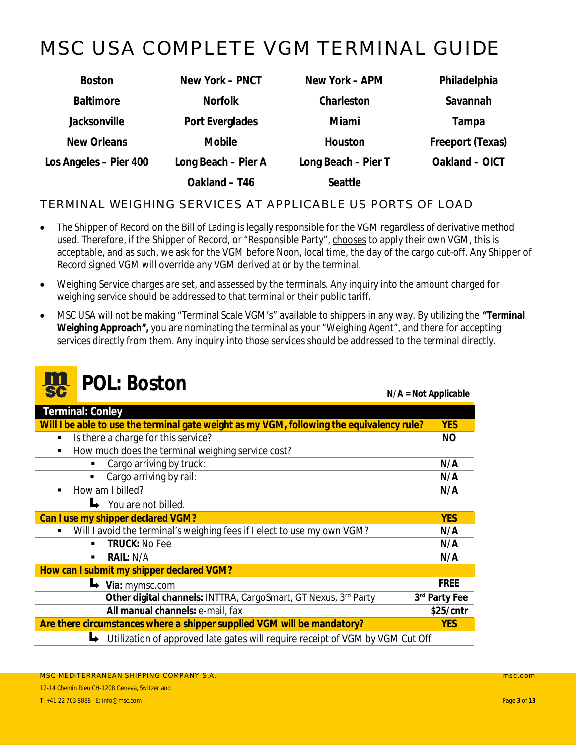### <span id="page-2-0"></span>MSC USA COMPLETE VGM TERMINAL GUIDE

| <b>Boston</b>          | New York - PNCT     | New York – APM      | Philadelphia     |
|------------------------|---------------------|---------------------|------------------|
| <b>Baltimore</b>       | <b>Norfolk</b>      | Charleston          | Savannah         |
| Jacksonville           | Port Everglades     | Miami               | Tampa            |
| New Orleans            | Mobile              | Houston             | Freeport (Texas) |
| Los Angeles - Pier 400 | Long Beach - Pier A | Long Beach - Pier T | Oakland - OICT   |
|                        | Oakland - T46       | Seattle             |                  |

#### TERMINAL WEIGHING SERVICES AT APPLICABLE US PORTS OF LOAD

- · The Shipper of Record on the Bill of Lading is legally responsible for the VGM regardless of derivative method used. Therefore, if the Shipper of Record, or "Responsible Party", chooses to apply their own VGM, this is acceptable, and as such, we ask for the VGM before Noon, local time, the day of the cargo cut-off. Any Shipper of Record signed VGM will override any VGM derived at or by the terminal.
- · Weighing Service charges are set, and assessed by the terminals. Any inquiry into the amount charged for weighing service should be addressed to that terminal or their public tariff.
- · MSC USA will not be making "Terminal Scale VGM's" available to shippers in any way. By utilizing the **"Terminal Weighing Approach",** you are nominating the terminal as your "Weighing Agent", and there for accepting services directly from them. Any inquiry into those services should be addressed to the terminal directly.

|                | <b>POL: Boston</b>                                                                        | $N/A = Not Applicable$    |
|----------------|-------------------------------------------------------------------------------------------|---------------------------|
|                | Terminal: Conley                                                                          |                           |
|                | Will I be able to use the terminal gate weight as my VGM, following the equivalency rule? | <b>YES</b>                |
| $\blacksquare$ | Is there a charge for this service?                                                       | <b>NO</b>                 |
| $\blacksquare$ | How much does the terminal weighing service cost?                                         |                           |
|                | Cargo arriving by truck:<br>٠                                                             | N/A                       |
|                | Cargo arriving by rail:                                                                   | N/A                       |
|                | How am I billed?                                                                          | N/A                       |
|                | You are not billed.                                                                       |                           |
|                | Can I use my shipper declared VGM?                                                        | <b>YES</b>                |
| ٠              | Will I avoid the terminal's weighing fees if I elect to use my own VGM?                   | N/A                       |
|                | <b>TRUCK: No Fee</b><br>$\blacksquare$                                                    | N/A                       |
|                | RAIL: N/A<br>$\blacksquare$                                                               | N/A                       |
|                | How can I submit my shipper declared VGM?                                                 |                           |
|                | $\rightarrow$ Via: mymsc.com                                                              | <b>FREE</b>               |
|                | Other digital channels: INTTRA, CargoSmart, GT Nexus, 3rd Party                           | 3 <sup>rd</sup> Party Fee |
|                | All manual channels: e-mail, fax                                                          | \$25/cntr                 |
|                | Are there circumstances where a shipper supplied VGM will be mandatory?                   | <b>YES</b>                |
|                | Utilization of approved late gates will require receipt of VGM by VGM Cut Off             |                           |
|                |                                                                                           |                           |

*Communication*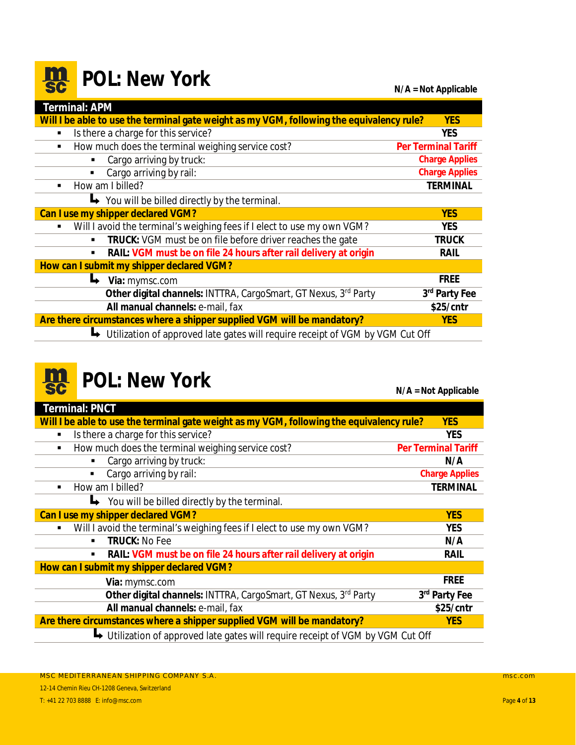#### <span id="page-3-0"></span>**m**<br>sc **POL:** New York **Nickelland State Control N/A = Not Applicable**

| Terminal: APM                                                                             |                            |
|-------------------------------------------------------------------------------------------|----------------------------|
| Will I be able to use the terminal gate weight as my VGM, following the equivalency rule? | <b>YES</b>                 |
| Is there a charge for this service?<br>$\blacksquare$                                     | <b>YES</b>                 |
| How much does the terminal weighing service cost?<br>٠                                    | <b>Per Terminal Tariff</b> |
| Cargo arriving by truck:                                                                  | <b>Charge Applies</b>      |
| Cargo arriving by rail:                                                                   | <b>Charge Applies</b>      |
| How am I billed?<br>$\blacksquare$                                                        | <b>TERMINAL</b>            |
| $\rightarrow$ You will be billed directly by the terminal.                                |                            |
| Can I use my shipper declared VGM?                                                        | <b>YES</b>                 |
| Will I avoid the terminal's weighing fees if I elect to use my own VGM?<br>٠              | <b>YES</b>                 |
| TRUCK: VGM must be on file before driver reaches the gate                                 | <b>TRUCK</b>               |
| RAIL: VGM must be on file 24 hours after rail delivery at origin                          | RAIL                       |
| How can I submit my shipper declared VGM?                                                 |                            |
| Via: mymsc.com                                                                            | <b>FREE</b>                |
| Other digital channels: INTTRA, CargoSmart, GT Nexus, 3rd Party                           | 3rd Party Fee              |
| All manual channels: e-mail, fax                                                          | $$25/$ cntr                |
| Are there circumstances where a shipper supplied VGM will be mandatory?                   | <b>YES</b>                 |
| Utilization of approved late gates will require receipt of VGM by VGM Cut Off             |                            |

### **POL:** New York

| av                                                                                        | $N/A = Not Applicable$     |
|-------------------------------------------------------------------------------------------|----------------------------|
| <b>Terminal: PNCT</b>                                                                     |                            |
| Will I be able to use the terminal gate weight as my VGM, following the equivalency rule? | <b>YES</b>                 |
| Is there a charge for this service?<br>٠                                                  | <b>YES</b>                 |
| How much does the terminal weighing service cost?<br>$\blacksquare$                       | <b>Per Terminal Tariff</b> |
| Cargo arriving by truck:<br>п                                                             | N/A                        |
| Cargo arriving by rail:<br>$\blacksquare$                                                 | <b>Charge Applies</b>      |
| How am I billed?<br>$\blacksquare$                                                        | <b>TERMINAL</b>            |
| You will be billed directly by the terminal.                                              |                            |
| Can I use my shipper declared VGM?                                                        | <b>YES</b>                 |
| Will I avoid the terminal's weighing fees if I elect to use my own VGM?<br>$\blacksquare$ | <b>YES</b>                 |
| <b>TRUCK: No Fee</b><br>٠                                                                 | N/A                        |
| RAIL: VGM must be on file 24 hours after rail delivery at origin<br>٠                     | RAIL                       |
| How can I submit my shipper declared VGM?                                                 |                            |
| Via: mymsc.com                                                                            | <b>FREE</b>                |
| Other digital channels: INTTRA, CargoSmart, GT Nexus, 3rd Party                           | 3rd Party Fee              |
| All manual channels: e-mail, fax                                                          | \$25/cntr                  |
| Are there circumstances where a shipper supplied VGM will be mandatory?                   | <b>YES</b>                 |
| Utilization of approved late gates will require receipt of VGM by VGM Cut Off             |                            |
|                                                                                           |                            |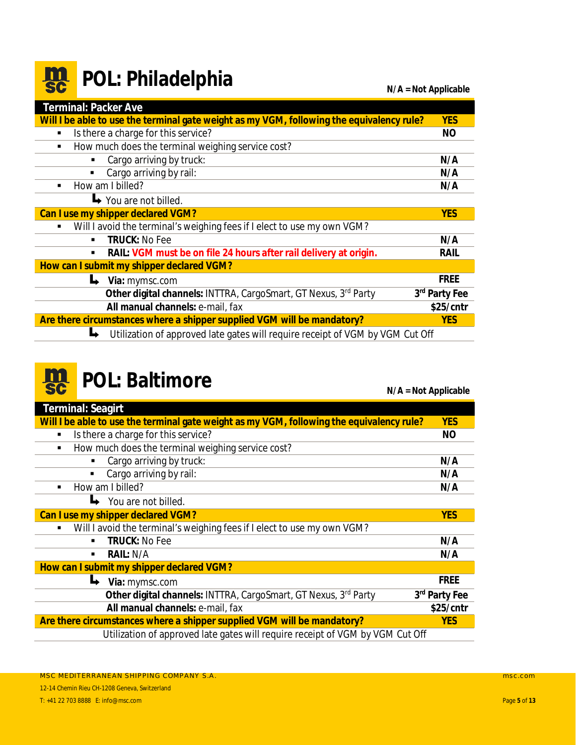#### <span id="page-4-0"></span>**m**<br>sc **POL: Philadelphia N/A = Not Applicable**

| Terminal: Packer Ave                                                                      |               |
|-------------------------------------------------------------------------------------------|---------------|
| Will I be able to use the terminal gate weight as my VGM, following the equivalency rule? | <b>YES</b>    |
| Is there a charge for this service?<br>$\blacksquare$                                     | NO            |
| How much does the terminal weighing service cost?<br>٠                                    |               |
| Cargo arriving by truck:<br>٠                                                             | N/A           |
| Cargo arriving by rail:                                                                   | N/A           |
| How am I billed?<br>$\blacksquare$                                                        | N/A           |
| $\rightarrow$ You are not billed.                                                         |               |
| Can I use my shipper declared VGM?                                                        | <b>YES</b>    |
| Will I avoid the terminal's weighing fees if I elect to use my own VGM?                   |               |
| <b>TRUCK: No Fee</b><br>٠                                                                 | N/A           |
| RAIL: VGM must be on file 24 hours after rail delivery at origin.<br>п                    | RAIL          |
| How can I submit my shipper declared VGM?                                                 |               |
| Via: mymsc.com                                                                            | <b>FREE</b>   |
| Other digital channels: INTTRA, CargoSmart, GT Nexus, 3rd Party                           | 3rd Party Fee |
| All manual channels: e-mail, fax                                                          | $$25/$ cntr   |
| Are there circumstances where a shipper supplied VGM will be mandatory?                   | <b>YES</b>    |
| Utilization of approved late gates will require receipt of VGM by VGM Cut Off<br>┗        |               |

### **POL: Baltimore N/A = Not Applicable**

|                                                                                           | $\mathbf{u}$  |
|-------------------------------------------------------------------------------------------|---------------|
| Terminal: Seagirt                                                                         |               |
| Will I be able to use the terminal gate weight as my VGM, following the equivalency rule? | <b>YES</b>    |
| Is there a charge for this service?<br>$\blacksquare$                                     | NO.           |
| How much does the terminal weighing service cost?                                         |               |
| Cargo arriving by truck:                                                                  | N/A           |
| Cargo arriving by rail:<br>$\blacksquare$                                                 | N/A           |
| How am I billed?                                                                          | N/A           |
| You are not billed.                                                                       |               |
| Can I use my shipper declared VGM?                                                        | <b>YES</b>    |
| Will I avoid the terminal's weighing fees if I elect to use my own VGM?<br>$\blacksquare$ |               |
| <b>TRUCK: No Fee</b>                                                                      | N/A           |
| RAIL: N/A<br>٠                                                                            | N/A           |
| How can I submit my shipper declared VGM?                                                 |               |
| Via: mymsc.com                                                                            | <b>FREE</b>   |
| Other digital channels: INTTRA, CargoSmart, GT Nexus, 3rd Party                           | 3rd Party Fee |
| All manual channels: e-mail, fax                                                          | $$25/$ cntr   |
| Are there circumstances where a shipper supplied VGM will be mandatory?                   | <b>YES</b>    |
| Utilization of approved late gates will require receipt of VGM by VGM Cut Off             |               |
|                                                                                           |               |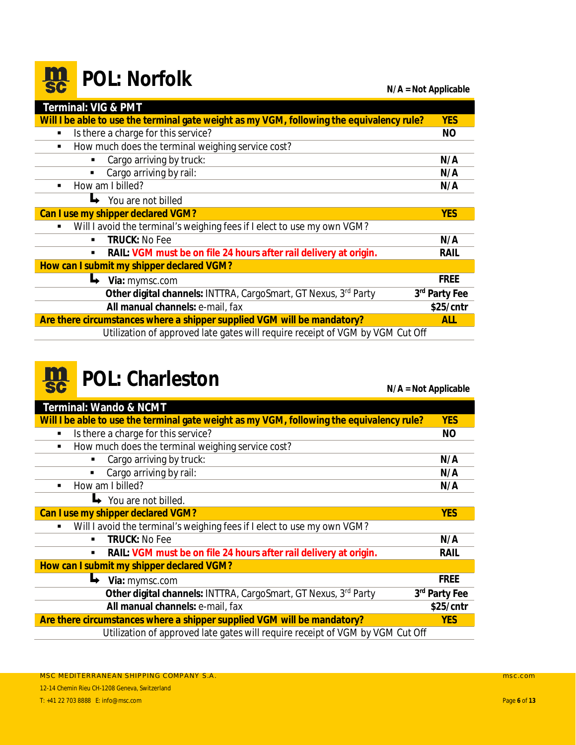#### <span id="page-5-0"></span>**m**<br>sc **POL:** Norfolk **N/A = Not Applicable**

| Terminal: VIG & PMT                                                                       |               |
|-------------------------------------------------------------------------------------------|---------------|
| Will I be able to use the terminal gate weight as my VGM, following the equivalency rule? | <b>YES</b>    |
| Is there a charge for this service?<br>٠                                                  | NO.           |
| How much does the terminal weighing service cost?<br>п                                    |               |
| Cargo arriving by truck:                                                                  | N/A           |
| Cargo arriving by rail:                                                                   | N/A           |
| How am I billed?<br>٠                                                                     | N/A           |
| You are not billed                                                                        |               |
| Can I use my shipper declared VGM?                                                        |               |
| Will I avoid the terminal's weighing fees if I elect to use my own VGM?<br>٠              |               |
| <b>TRUCK: No Fee</b><br>٠                                                                 | N/A           |
| RAIL: VGM must be on file 24 hours after rail delivery at origin.<br>٠                    | RAIL          |
| How can I submit my shipper declared VGM?                                                 |               |
| Via: mymsc.com                                                                            | <b>FREE</b>   |
| Other digital channels: INTTRA, CargoSmart, GT Nexus, 3rd Party                           | 3rd Party Fee |
| All manual channels: e-mail, fax                                                          | \$25/cntr     |
| Are there circumstances where a shipper supplied VGM will be mandatory?                   | <b>ALL</b>    |
| Utilization of approved late gates will require receipt of VGM by VGM Cut Off             |               |

## **POL: Charleston N/A = Not Applicable**

| Terminal: Wando & NCMT                                                                    |               |
|-------------------------------------------------------------------------------------------|---------------|
| Will I be able to use the terminal gate weight as my VGM, following the equivalency rule? | <b>YES</b>    |
| Is there a charge for this service?<br>٠                                                  | <b>NO</b>     |
| How much does the terminal weighing service cost?<br>$\blacksquare$                       |               |
| Cargo arriving by truck:<br>٠                                                             | N/A           |
| Cargo arriving by rail:                                                                   | N/A           |
| How am I billed?<br>٠                                                                     | N/A           |
| You are not billed.                                                                       |               |
| Can I use my shipper declared VGM?                                                        | <b>YES</b>    |
| Will I avoid the terminal's weighing fees if I elect to use my own VGM?<br>٠              |               |
| <b>TRUCK: No Fee</b><br>$\blacksquare$                                                    | N/A           |
| RAIL: VGM must be on file 24 hours after rail delivery at origin.<br>$\blacksquare$       | RAIL          |
| How can I submit my shipper declared VGM?                                                 |               |
| Via: mymsc.com                                                                            | <b>FREE</b>   |
| Other digital channels: INTTRA, CargoSmart, GT Nexus, 3rd Party                           | 3rd Party Fee |
| All manual channels: e-mail, fax                                                          | $$25/$ cntr   |
| Are there circumstances where a shipper supplied VGM will be mandatory?                   | <b>YES</b>    |
| Utilization of approved late gates will require receipt of VGM by VGM Cut Off             |               |
|                                                                                           |               |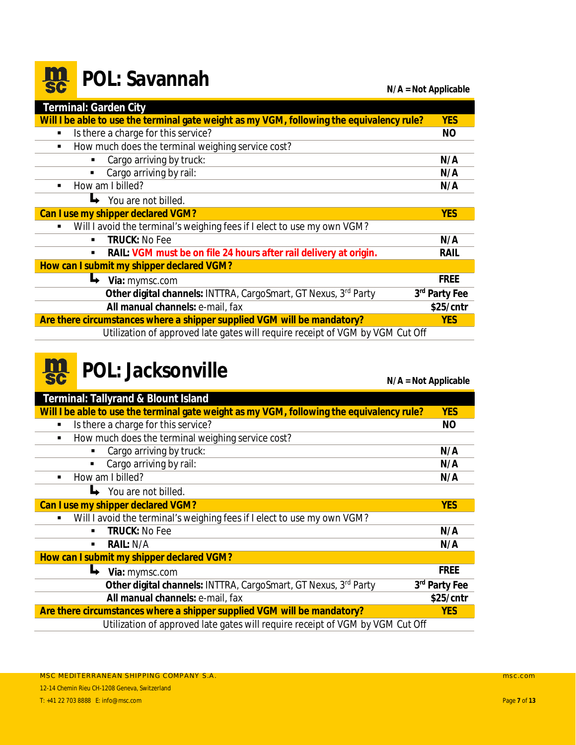#### <span id="page-6-0"></span>**m POL: Savannah N/A = Not Applicable**

| Terminal: Garden City                                                                     |               |
|-------------------------------------------------------------------------------------------|---------------|
| Will I be able to use the terminal gate weight as my VGM, following the equivalency rule? | <b>YES</b>    |
| Is there a charge for this service?<br>$\blacksquare$                                     | NO            |
| How much does the terminal weighing service cost?<br>$\blacksquare$                       |               |
| Cargo arriving by truck:<br>٠                                                             | N/A           |
| Cargo arriving by rail:                                                                   | N/A           |
| How am I billed?<br>$\blacksquare$                                                        | N/A           |
| You are not billed.                                                                       |               |
| Can I use my shipper declared VGM?                                                        |               |
| Will I avoid the terminal's weighing fees if I elect to use my own VGM?<br>٠              |               |
| <b>TRUCK: No Fee</b><br>$\blacksquare$                                                    | N/A           |
| RAIL: VGM must be on file 24 hours after rail delivery at origin.<br>п                    | RAIL          |
| How can I submit my shipper declared VGM?                                                 |               |
| Via: mymsc.com                                                                            | <b>FREE</b>   |
| Other digital channels: INTTRA, CargoSmart, GT Nexus, 3rd Party                           | 3rd Party Fee |
| All manual channels: e-mail, fax                                                          | $$25/$ cntr   |
| Are there circumstances where a shipper supplied VGM will be mandatory?                   | <b>YES</b>    |
| Utilization of approved late gates will require receipt of VGM by VGM Cut Off             |               |

#### **m**<br>sc **POL:** Jacksonville

| <b>YES</b>                                                                    |
|-------------------------------------------------------------------------------|
| <b>NO</b>                                                                     |
|                                                                               |
| N/A                                                                           |
| N/A                                                                           |
| N/A                                                                           |
|                                                                               |
| <b>YES</b>                                                                    |
|                                                                               |
| N/A                                                                           |
| N/A                                                                           |
|                                                                               |
| <b>FREE</b>                                                                   |
| 3rd Party Fee                                                                 |
| \$25/cntr                                                                     |
| <b>YES</b>                                                                    |
| Utilization of approved late gates will require receipt of VGM by VGM Cut Off |
|                                                                               |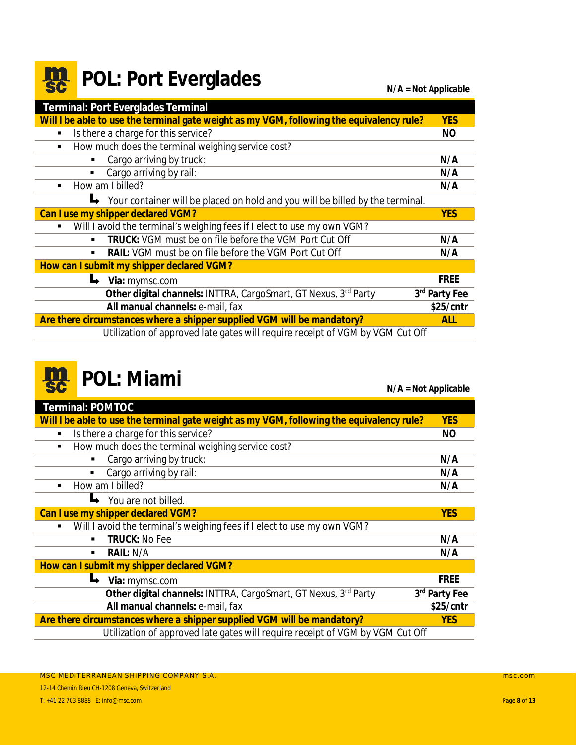### <span id="page-7-0"></span>**POL: Port Everglades N/A = Not Applicable**

| Terminal: Port Everglades Terminal                                                        |               |
|-------------------------------------------------------------------------------------------|---------------|
| Will I be able to use the terminal gate weight as my VGM, following the equivalency rule? | <b>YES</b>    |
| Is there a charge for this service?<br>$\blacksquare$                                     | NO            |
| How much does the terminal weighing service cost?<br>$\blacksquare$                       |               |
| Cargo arriving by truck:                                                                  | N/A           |
| Cargo arriving by rail:<br>$\blacksquare$                                                 | N/A           |
| How am I billed?<br>$\blacksquare$                                                        | N/A           |
| Your container will be placed on hold and you will be billed by the terminal.             |               |
| Can I use my shipper declared VGM?                                                        | <b>YES</b>    |
| Will I avoid the terminal's weighing fees if I elect to use my own VGM?<br>٠              |               |
| TRUCK: VGM must be on file before the VGM Port Cut Off<br>$\blacksquare$                  | N/A           |
| RAIL: VGM must be on file before the VGM Port Cut Off<br>٠                                | N/A           |
| How can I submit my shipper declared VGM?                                                 |               |
| Via: mymsc.com                                                                            | <b>FREE</b>   |
| Other digital channels: INTTRA, CargoSmart, GT Nexus, 3rd Party                           | 3rd Party Fee |
| All manual channels: e-mail, fax                                                          | $$25/$ cntr   |
| Are there circumstances where a shipper supplied VGM will be mandatory?                   | <b>ALL</b>    |
| Utilization of approved late gates will require receipt of VGM by VGM Cut Off             |               |



### **POL:** Miami

| av             |                                                                                           | $N/A = Not Applicable$ |
|----------------|-------------------------------------------------------------------------------------------|------------------------|
|                | <b>Terminal: POMTOC</b>                                                                   |                        |
|                | Will I be able to use the terminal gate weight as my VGM, following the equivalency rule? | <b>YES</b>             |
| ٠              | Is there a charge for this service?                                                       | <b>NO</b>              |
| ٠              | How much does the terminal weighing service cost?                                         |                        |
|                | Cargo arriving by truck:                                                                  | N/A                    |
|                | Cargo arriving by rail:                                                                   | N/A                    |
| $\blacksquare$ | How am I billed?                                                                          | N/A                    |
|                | You are not billed.                                                                       |                        |
|                | Can I use my shipper declared VGM?                                                        | <b>YES</b>             |
| ٠              | Will I avoid the terminal's weighing fees if I elect to use my own VGM?                   |                        |
|                | <b>TRUCK: No Fee</b><br>٠                                                                 | N/A                    |
|                | RAIL: N/A                                                                                 | N/A                    |
|                | How can I submit my shipper declared VGM?                                                 |                        |
|                | Ц<br>Via: mymsc.com                                                                       | <b>FREE</b>            |
|                | Other digital channels: INTTRA, CargoSmart, GT Nexus, 3rd Party                           | 3rd Party Fee          |
|                | All manual channels: e-mail, fax                                                          | \$25/cntr              |
|                | Are there circumstances where a shipper supplied VGM will be mandatory?                   | <b>YES</b>             |
|                | Utilization of approved late gates will require receipt of VGM by VGM Cut Off             |                        |
|                |                                                                                           |                        |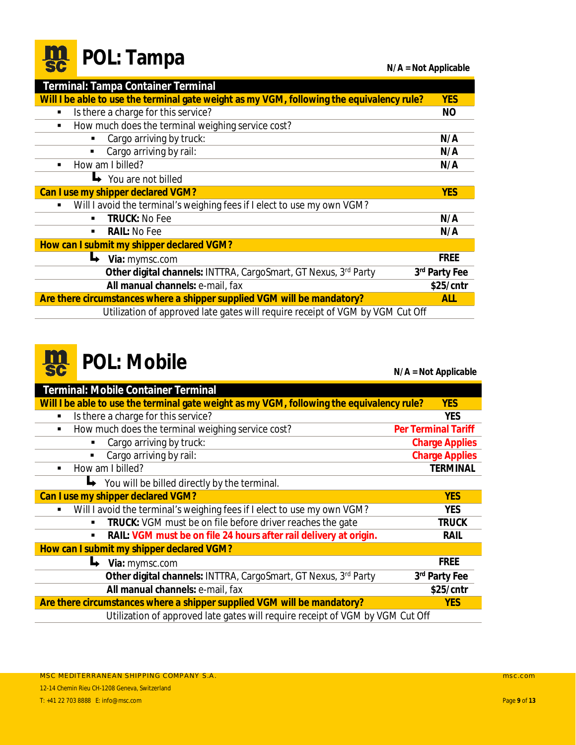<span id="page-8-0"></span>

|  |  | <b>Re</b> POL: Tampa |
|--|--|----------------------|
|--|--|----------------------|

**N/A = Not Applicable** 

| Terminal: Tampa Container Terminal                                                        |               |  |  |
|-------------------------------------------------------------------------------------------|---------------|--|--|
| Will I be able to use the terminal gate weight as my VGM, following the equivalency rule? | <b>YES</b>    |  |  |
| Is there a charge for this service?<br>٠                                                  |               |  |  |
| How much does the terminal weighing service cost?<br>٠                                    |               |  |  |
| Cargo arriving by truck:                                                                  | N/A           |  |  |
| Cargo arriving by rail:                                                                   | N/A           |  |  |
| How am I billed?<br>$\blacksquare$                                                        | N/A           |  |  |
| You are not billed                                                                        |               |  |  |
| Can I use my shipper declared VGM?                                                        |               |  |  |
| Will I avoid the terminal's weighing fees if I elect to use my own VGM?<br>٠              |               |  |  |
| <b>TRUCK: No Fee</b><br>$\blacksquare$                                                    | N/A           |  |  |
| <b>RAIL: No Fee</b><br>$\blacksquare$                                                     | N/A           |  |  |
| How can I submit my shipper declared VGM?                                                 |               |  |  |
| Via: mymsc.com                                                                            | <b>FREE</b>   |  |  |
| Other digital channels: INTTRA, CargoSmart, GT Nexus, 3rd Party                           | 3rd Party Fee |  |  |
| $$25/$ cntr<br>All manual channels: e-mail, fax                                           |               |  |  |
| Are there circumstances where a shipper supplied VGM will be mandatory?<br><b>ALL</b>     |               |  |  |
| Utilization of approved late gates will require receipt of VGM by VGM Cut Off             |               |  |  |



**POL: Mobile N/A = Not Applicable** 

| Terminal: Mobile Container Terminal                                                       |                            |  |
|-------------------------------------------------------------------------------------------|----------------------------|--|
| Will I be able to use the terminal gate weight as my VGM, following the equivalency rule? | <b>YES</b>                 |  |
| Is there a charge for this service?<br>٠                                                  | <b>YES</b>                 |  |
| How much does the terminal weighing service cost?<br>٠                                    | <b>Per Terminal Tariff</b> |  |
| Cargo arriving by truck:                                                                  | <b>Charge Applies</b>      |  |
| Cargo arriving by rail:                                                                   | <b>Charge Applies</b>      |  |
| How am I billed?<br>$\blacksquare$                                                        | <b>TERMINAL</b>            |  |
| You will be billed directly by the terminal.                                              |                            |  |
| Can I use my shipper declared VGM?                                                        | <b>YES</b>                 |  |
| Will I avoid the terminal's weighing fees if I elect to use my own VGM?<br>$\blacksquare$ | <b>YES</b>                 |  |
| TRUCK: VGM must be on file before driver reaches the gate                                 | TRUCK                      |  |
| RAIL: VGM must be on file 24 hours after rail delivery at origin.                         | RAIL                       |  |
| How can I submit my shipper declared VGM?                                                 |                            |  |
| Via: mymsc.com                                                                            | <b>FREE</b>                |  |
| Other digital channels: INTTRA, CargoSmart, GT Nexus, 3rd Party                           | 3rd Party Fee              |  |
| All manual channels: e-mail, fax                                                          | $$25/$ cntr                |  |
| Are there circumstances where a shipper supplied VGM will be mandatory?<br><b>YES</b>     |                            |  |
| Utilization of approved late gates will require receipt of VGM by VGM Cut Off             |                            |  |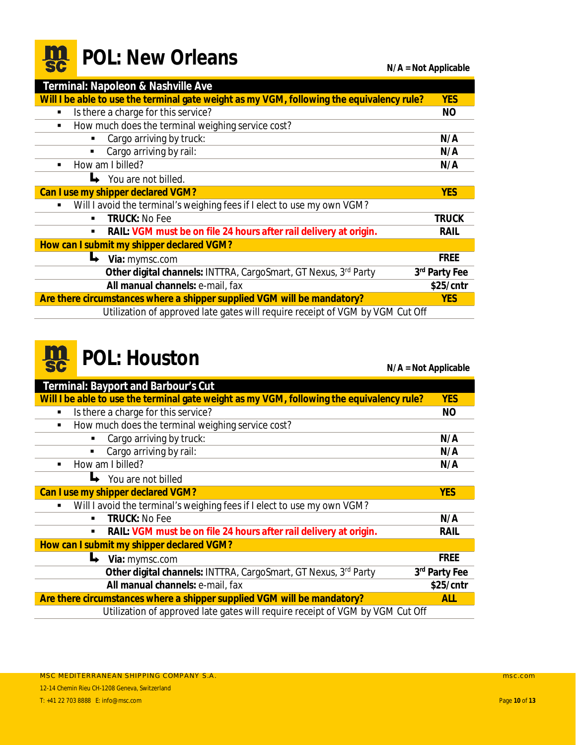<span id="page-9-0"></span>

|  |  | <b>Re</b> POL: New Orleans |
|--|--|----------------------------|
|--|--|----------------------------|

 $N/A = Not Applicable$ 

| Terminal: Napoleon & Nashville Ave                                                        |                           |  |
|-------------------------------------------------------------------------------------------|---------------------------|--|
| Will I be able to use the terminal gate weight as my VGM, following the equivalency rule? | <b>YES</b>                |  |
| Is there a charge for this service?<br>п                                                  |                           |  |
| How much does the terminal weighing service cost?<br>$\blacksquare$                       |                           |  |
| Cargo arriving by truck:<br>$\blacksquare$                                                | N/A                       |  |
| Cargo arriving by rail:<br>$\blacksquare$                                                 | N/A                       |  |
| How am I billed?                                                                          | N/A                       |  |
| You are not billed.                                                                       |                           |  |
| Can I use my shipper declared VGM?                                                        |                           |  |
| Will I avoid the terminal's weighing fees if I elect to use my own VGM?<br>$\blacksquare$ |                           |  |
| <b>TRUCK: No Fee</b><br>$\blacksquare$                                                    | <b>TRUCK</b>              |  |
| RAIL: VGM must be on file 24 hours after rail delivery at origin.<br>٠                    | RAIL                      |  |
| How can I submit my shipper declared VGM?                                                 |                           |  |
| Via: mymsc.com                                                                            | <b>FREE</b>               |  |
| Other digital channels: INTTRA, CargoSmart, GT Nexus, 3rd Party                           | 3 <sup>rd</sup> Party Fee |  |
| All manual channels: e-mail, fax<br>\$25/cntr                                             |                           |  |
| Are there circumstances where a shipper supplied VGM will be mandatory?<br><b>YES</b>     |                           |  |
| Utilization of approved late gates will require receipt of VGM by VGM Cut Off             |                           |  |



### **POL: Houston N/A = Not Applicable**

| Terminal: Bayport and Barbour's Cut                                                       |             |  |  |
|-------------------------------------------------------------------------------------------|-------------|--|--|
| Will I be able to use the terminal gate weight as my VGM, following the equivalency rule? |             |  |  |
| Is there a charge for this service?<br>٠                                                  |             |  |  |
| How much does the terminal weighing service cost?<br>٠                                    |             |  |  |
| Cargo arriving by truck:<br>N/A                                                           |             |  |  |
| Cargo arriving by rail:<br>٠                                                              | N/A         |  |  |
| How am I billed?<br>٠                                                                     | N/A         |  |  |
| You are not billed                                                                        |             |  |  |
| Can I use my shipper declared VGM?<br><b>YES</b>                                          |             |  |  |
| Will I avoid the terminal's weighing fees if I elect to use my own VGM?                   |             |  |  |
| <b>TRUCK: No Fee</b><br>٠                                                                 | N/A         |  |  |
| RAIL: VGM must be on file 24 hours after rail delivery at origin.<br>٠                    | RAIL        |  |  |
| How can I submit my shipper declared VGM?                                                 |             |  |  |
| Via: mymsc.com                                                                            | <b>FREE</b> |  |  |
| Other digital channels: INTTRA, CargoSmart, GT Nexus, 3rd Party<br>3rd Party Fee          |             |  |  |
| All manual channels: e-mail, fax<br>$$25/$ cntr                                           |             |  |  |
| Are there circumstances where a shipper supplied VGM will be mandatory?<br><b>ALL</b>     |             |  |  |
| Utilization of approved late gates will require receipt of VGM by VGM Cut Off             |             |  |  |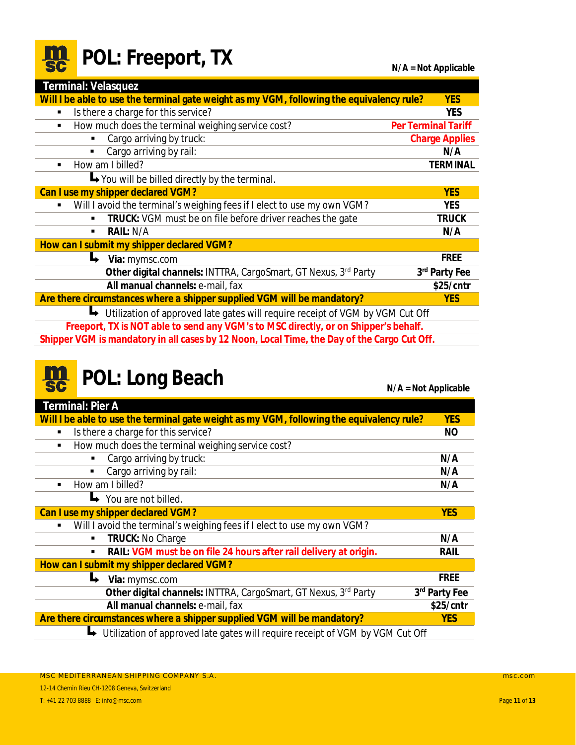<span id="page-10-0"></span>

|  | <b>Re</b> POL: Freeport, T. |  |
|--|-----------------------------|--|
|--|-----------------------------|--|

| Terminal: Velasquez                                                                         |                       |  |
|---------------------------------------------------------------------------------------------|-----------------------|--|
| Will I be able to use the terminal gate weight as my VGM, following the equivalency rule?   | <b>YES</b>            |  |
| Is there a charge for this service?<br>٠                                                    | <b>YES</b>            |  |
| How much does the terminal weighing service cost?<br>п                                      | Per Terminal Tariff   |  |
| Cargo arriving by truck:                                                                    | <b>Charge Applies</b> |  |
| Cargo arriving by rail:<br>$\blacksquare$                                                   | N/A                   |  |
| How am I billed?<br>п                                                                       | <b>TERMINAL</b>       |  |
| You will be billed directly by the terminal.                                                |                       |  |
| Can I use my shipper declared VGM?                                                          | <b>YES</b>            |  |
| Will I avoid the terminal's weighing fees if I elect to use my own VGM?                     | <b>YES</b>            |  |
| TRUCK: VGM must be on file before driver reaches the gate                                   | TRUCK                 |  |
| RAIL: N/A<br>$\blacksquare$                                                                 | N/A                   |  |
| How can I submit my shipper declared VGM?                                                   |                       |  |
| Via: mymsc.com                                                                              | <b>FREE</b>           |  |
| Other digital channels: INTTRA, CargoSmart, GT Nexus, 3rd Party                             | 3rd Party Fee         |  |
| All manual channels: e-mail, fax                                                            | \$25/cntr             |  |
| Are there circumstances where a shipper supplied VGM will be mandatory?                     | <b>YES</b>            |  |
| Utilization of approved late gates will require receipt of VGM by VGM Cut Off               |                       |  |
| Freeport, TX is NOT able to send any VGM's to MSC directly, or on Shipper's behalf.         |                       |  |
| Shipper VGM is mandatory in all cases by 12 Noon, Local Time, the Day of the Cargo Cut Off. |                       |  |

# **POL:** Long Beach

|                                                                                           | $IVA = IVOL$ Applicable |  |
|-------------------------------------------------------------------------------------------|-------------------------|--|
| Terminal: Pier A                                                                          |                         |  |
| Will I be able to use the terminal gate weight as my VGM, following the equivalency rule? | <b>YES</b>              |  |
| Is there a charge for this service?                                                       | NO.                     |  |
| How much does the terminal weighing service cost?<br>$\blacksquare$                       |                         |  |
| Cargo arriving by truck:                                                                  | N/A                     |  |
| Cargo arriving by rail:<br>$\blacksquare$                                                 | N/A                     |  |
| How am I billed?<br>٠                                                                     | N/A                     |  |
| $\rightarrow$ You are not billed.                                                         |                         |  |
| Can I use my shipper declared VGM?                                                        | <b>YES</b>              |  |
| Will I avoid the terminal's weighing fees if I elect to use my own VGM?                   |                         |  |
| TRUCK: No Charge<br>٠                                                                     | N/A                     |  |
| RAIL: VGM must be on file 24 hours after rail delivery at origin.<br>٠                    | RAIL                    |  |
| How can I submit my shipper declared VGM?                                                 |                         |  |
| Via: mymsc.com                                                                            | <b>FREE</b>             |  |
| Other digital channels: INTTRA, CargoSmart, GT Nexus, 3rd Party                           | 3rd Party Fee           |  |
| All manual channels: e-mail, fax                                                          | $$25/$ cntr             |  |
| Are there circumstances where a shipper supplied VGM will be mandatory?<br><b>YES</b>     |                         |  |
| Utilization of approved late gates will require receipt of VGM by VGM Cut Off             |                         |  |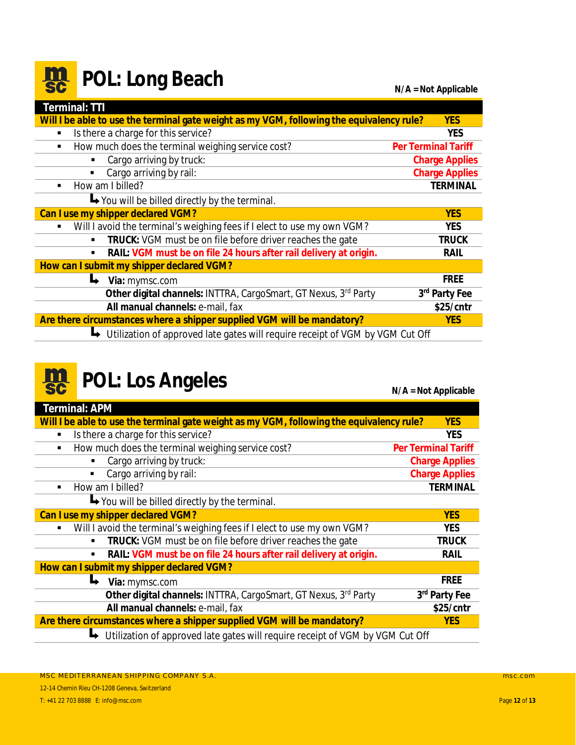#### <span id="page-11-0"></span>**m POL: Long Beach N/A = Not Applicable**

| Terminal: TTI                                                                             |                            |  |
|-------------------------------------------------------------------------------------------|----------------------------|--|
| Will I be able to use the terminal gate weight as my VGM, following the equivalency rule? | <b>YES</b>                 |  |
| Is there a charge for this service?<br>$\blacksquare$                                     | <b>YES</b>                 |  |
| How much does the terminal weighing service cost?<br>$\blacksquare$                       | <b>Per Terminal Tariff</b> |  |
| Cargo arriving by truck:                                                                  | <b>Charge Applies</b>      |  |
| Cargo arriving by rail:<br>$\blacksquare$                                                 | <b>Charge Applies</b>      |  |
| How am I billed?<br>$\blacksquare$                                                        | <b>TERMINAL</b>            |  |
| $\rightarrow$ You will be billed directly by the terminal.                                |                            |  |
| Can I use my shipper declared VGM?                                                        | <b>YES</b>                 |  |
| Will I avoid the terminal's weighing fees if I elect to use my own VGM?                   | <b>YES</b>                 |  |
| TRUCK: VGM must be on file before driver reaches the gate<br>٠                            | <b>TRUCK</b>               |  |
| RAIL: VGM must be on file 24 hours after rail delivery at origin.<br>п                    | RAIL                       |  |
| How can I submit my shipper declared VGM?                                                 |                            |  |
| Via: mymsc.com                                                                            | <b>FREE</b>                |  |
| Other digital channels: INTTRA, CargoSmart, GT Nexus, 3rd Party                           | 3rd Party Fee              |  |
| All manual channels: e-mail, fax                                                          | \$25/cntr                  |  |
| Are there circumstances where a shipper supplied VGM will be mandatory?<br><b>YES</b>     |                            |  |
| Utilization of approved late gates will require receipt of VGM by VGM Cut Off             |                            |  |

#### **POL: Los Angeles N/A = Not Applicable II**

**Terminal: APM Will I be able to use the terminal gate weight as my VGM, following the equivalency rule? YES** § Is there a charge for this service? **YES** § How much does the terminal weighing service cost? **Per Terminal Tariff** § Cargo arriving by truck: **Charge Applies** § Cargo arriving by rail: **Charge Applies** § How am I billed? **TERMINAL** You will be billed directly by the terminal. **Can I use my shipper declared VGM? YES** § Will I avoid the terminal's weighing fees if I elect to use my own VGM? **YES** § **TRUCK:** VGM must be on file before driver reaches the gate **TRUCK** § **RAIL: VGM must be on file 24 hours after rail delivery at origin. RAIL How can I submit my shipper declared VGM? Via:** mymsc.com **FREE Other digital channels:** INTTRA, CargoSmart, GT Nexus, 3rd Party **3 rd Party Fee All manual channels:** e-mail, fax **\$25/cntr Are there circumstances where a shipper supplied VGM will be mandatory? YES** ↓ Utilization of approved late gates will require receipt of VGM by VGM Cut Off